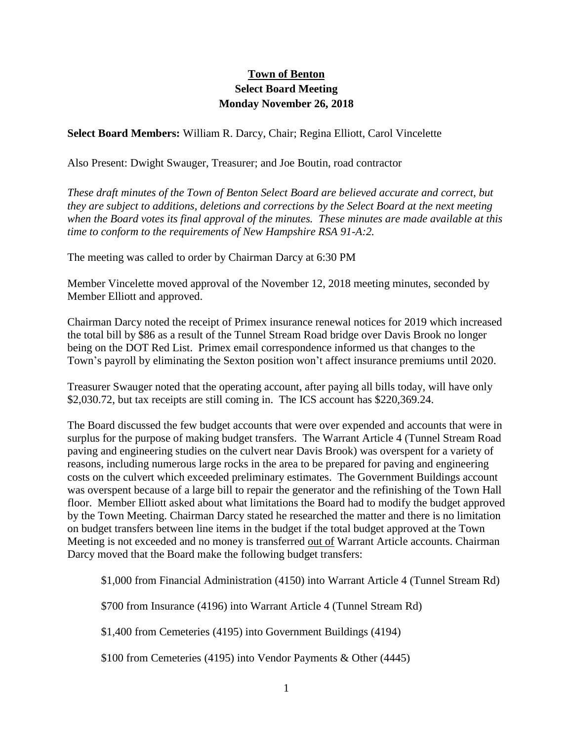## **Town of Benton Select Board Meeting Monday November 26, 2018**

**Select Board Members:** William R. Darcy, Chair; Regina Elliott, Carol Vincelette

Also Present: Dwight Swauger, Treasurer; and Joe Boutin, road contractor

*These draft minutes of the Town of Benton Select Board are believed accurate and correct, but they are subject to additions, deletions and corrections by the Select Board at the next meeting when the Board votes its final approval of the minutes. These minutes are made available at this time to conform to the requirements of New Hampshire RSA 91-A:2.*

The meeting was called to order by Chairman Darcy at 6:30 PM

Member Vincelette moved approval of the November 12, 2018 meeting minutes, seconded by Member Elliott and approved.

Chairman Darcy noted the receipt of Primex insurance renewal notices for 2019 which increased the total bill by \$86 as a result of the Tunnel Stream Road bridge over Davis Brook no longer being on the DOT Red List. Primex email correspondence informed us that changes to the Town's payroll by eliminating the Sexton position won't affect insurance premiums until 2020.

Treasurer Swauger noted that the operating account, after paying all bills today, will have only \$2,030.72, but tax receipts are still coming in. The ICS account has \$220,369.24.

The Board discussed the few budget accounts that were over expended and accounts that were in surplus for the purpose of making budget transfers. The Warrant Article 4 (Tunnel Stream Road paving and engineering studies on the culvert near Davis Brook) was overspent for a variety of reasons, including numerous large rocks in the area to be prepared for paving and engineering costs on the culvert which exceeded preliminary estimates. The Government Buildings account was overspent because of a large bill to repair the generator and the refinishing of the Town Hall floor. Member Elliott asked about what limitations the Board had to modify the budget approved by the Town Meeting. Chairman Darcy stated he researched the matter and there is no limitation on budget transfers between line items in the budget if the total budget approved at the Town Meeting is not exceeded and no money is transferred out of Warrant Article accounts. Chairman Darcy moved that the Board make the following budget transfers:

\$1,000 from Financial Administration (4150) into Warrant Article 4 (Tunnel Stream Rd)

\$700 from Insurance (4196) into Warrant Article 4 (Tunnel Stream Rd)

\$1,400 from Cemeteries (4195) into Government Buildings (4194)

\$100 from Cemeteries (4195) into Vendor Payments & Other (4445)